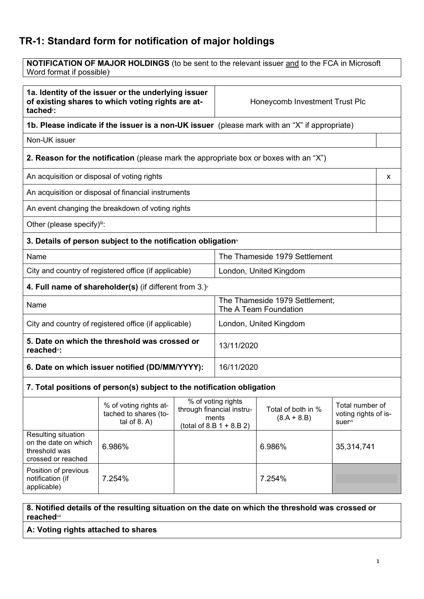# **TR-1: Standard form for notification of major holdings**

**NOTIFICATION OF MAJOR HOLDINGS** (to be sent to the relevant issuer and to the FCA in Microsoft Word format if possible)

**1a. Identity of the issuer or the underlying issuer of existing shares to which voting rights are attached**ii**:**

Honeycomb Investment Trust Plc

**1b. Please indicate if the issuer is a non-UK issuer** (please mark with an "X" if appropriate)

Non-UK issuer

# **2. Reason for the notification** (please mark the appropriate box or boxes with an "X")

An acquisition or disposal of voting rights x

An acquisition or disposal of financial instruments

An event changing the breakdown of voting rights

Other (please specify)iii:

### **3. Details of person subject to the notification obligation**iv

| Name                                                  | The Thameside 1979 Settlement |
|-------------------------------------------------------|-------------------------------|
| City and country of registered office (if applicable) | London, United Kingdom        |

# **4. Full name of shareholder(s)** (if different from 3.)<sup>v</sup>

| Name                                                                     | The Thameside 1979 Settlement;<br>The A Team Foundation |
|--------------------------------------------------------------------------|---------------------------------------------------------|
| City and country of registered office (if applicable)                    | London, United Kingdom                                  |
| 5. Date on which the threshold was crossed or<br>reached <sup>vi</sup> : | 13/11/2020                                              |
| 6. Date on which issuer notified (DD/MM/YYYY):                           | 16/11/2020                                              |

### **7. Total positions of person(s) subject to the notification obligation**

|                                                                                    | % of voting rights at-<br>tached to shares (to-<br>tal of $8. A$ ) | % of voting rights<br>through financial instru-<br>ments<br>(total of 8.B $1 + 8.B 2$ ) | Total of both in %<br>$(8.A + 8.B)$ | Total number of<br>voting rights of is-<br><b>suer</b> <sup>vii</sup> |
|------------------------------------------------------------------------------------|--------------------------------------------------------------------|-----------------------------------------------------------------------------------------|-------------------------------------|-----------------------------------------------------------------------|
| Resulting situation<br>on the date on which<br>threshold was<br>crossed or reached | 6.986%                                                             |                                                                                         | 6.986%                              | 35,314,741                                                            |
| Position of previous<br>notification (if<br>applicable)                            | 7.254%                                                             |                                                                                         | 7.254%                              |                                                                       |

### **8. Notified details of the resulting situation on the date on which the threshold was crossed or reached**viii

**A: Voting rights attached to shares**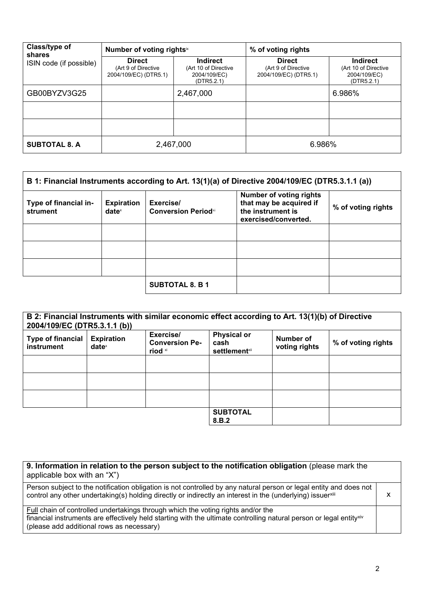| Class/type of<br>shares | Number of voting rightsix                                     |                                                                | % of voting rights                                            |                                                                |
|-------------------------|---------------------------------------------------------------|----------------------------------------------------------------|---------------------------------------------------------------|----------------------------------------------------------------|
| ISIN code (if possible) | <b>Direct</b><br>(Art 9 of Directive<br>2004/109/EC) (DTR5.1) | Indirect<br>(Art 10 of Directive<br>2004/109/EC)<br>(DTR5.2.1) | <b>Direct</b><br>(Art 9 of Directive<br>2004/109/EC) (DTR5.1) | Indirect<br>(Art 10 of Directive<br>2004/109/EC)<br>(DTR5.2.1) |
| GB00BYZV3G25            |                                                               | 2,467,000                                                      |                                                               | 6.986%                                                         |
|                         |                                                               |                                                                |                                                               |                                                                |
|                         |                                                               |                                                                |                                                               |                                                                |
| <b>SUBTOTAL 8. A</b>    | 2,467,000                                                     |                                                                | 6.986%                                                        |                                                                |

| B 1: Financial Instruments according to Art. 13(1)(a) of Directive 2004/109/EC (DTR5.3.1.1 (a)) |                               |                                         |                                                                                                        |                    |
|-------------------------------------------------------------------------------------------------|-------------------------------|-----------------------------------------|--------------------------------------------------------------------------------------------------------|--------------------|
| Type of financial in-<br>strument                                                               | <b>Expiration</b><br>$date^x$ | Exercise/<br><b>Conversion Periodxi</b> | <b>Number of voting rights</b><br>that may be acquired if<br>the instrument is<br>exercised/converted. | % of voting rights |
|                                                                                                 |                               |                                         |                                                                                                        |                    |
|                                                                                                 |                               |                                         |                                                                                                        |                    |
|                                                                                                 |                               |                                         |                                                                                                        |                    |
|                                                                                                 |                               | <b>SUBTOTAL 8. B 1</b>                  |                                                                                                        |                    |

| 2004/109/EC (DTR5.3.1.1 (b))           |                                        | B 2: Financial Instruments with similar economic effect according to Art. 13(1)(b) of Directive |                                                        |                            |                    |
|----------------------------------------|----------------------------------------|-------------------------------------------------------------------------------------------------|--------------------------------------------------------|----------------------------|--------------------|
| <b>Type of financial</b><br>instrument | <b>Expiration</b><br>date <sup>x</sup> | Exercise/<br><b>Conversion Pe-</b><br>riod xi                                                   | <b>Physical or</b><br>cash<br>settlement <sup>x⊪</sup> | Number of<br>voting rights | % of voting rights |
|                                        |                                        |                                                                                                 |                                                        |                            |                    |
|                                        |                                        |                                                                                                 |                                                        |                            |                    |
|                                        |                                        |                                                                                                 |                                                        |                            |                    |
|                                        |                                        |                                                                                                 | <b>SUBTOTAL</b><br>8.B.2                               |                            |                    |

| 9. Information in relation to the person subject to the notification obligation (please mark the<br>applicable box with an "X")                                                                                                                                         |  |
|-------------------------------------------------------------------------------------------------------------------------------------------------------------------------------------------------------------------------------------------------------------------------|--|
| Person subject to the notification obligation is not controlled by any natural person or legal entity and does not<br>control any other undertaking(s) holding directly or indirectly an interest in the (underlying) issuerxili                                        |  |
| <b>Full chain of controlled undertakings through which the voting rights and/or the</b><br>financial instruments are effectively held starting with the ultimate controlling natural person or legal entity <sup>xiv</sup><br>(please add additional rows as necessary) |  |